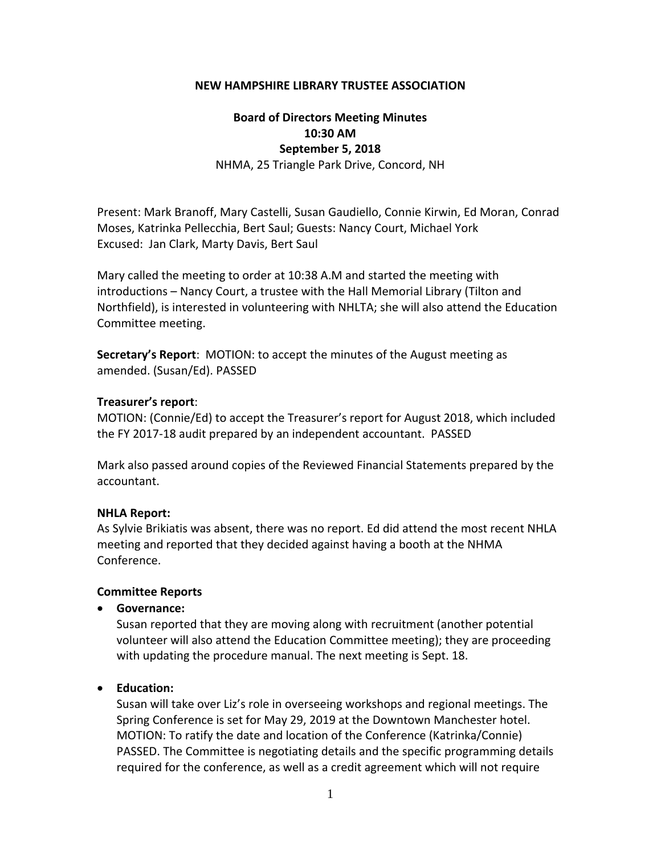#### **NEW HAMPSHIRE LIBRARY TRUSTEE ASSOCIATION**

# **Board of Directors Meeting Minutes 10:30 AM September 5, 2018**

NHMA, 25 Triangle Park Drive, Concord, NH

Present: Mark Branoff, Mary Castelli, Susan Gaudiello, Connie Kirwin, Ed Moran, Conrad Moses, Katrinka Pellecchia, Bert Saul; Guests: Nancy Court, Michael York Excused: Jan Clark, Marty Davis, Bert Saul

Mary called the meeting to order at 10:38 A.M and started the meeting with introductions – Nancy Court, a trustee with the Hall Memorial Library (Tilton and Northfield), is interested in volunteering with NHLTA; she will also attend the Education Committee meeting.

**Secretary's Report**: MOTION: to accept the minutes of the August meeting as amended. (Susan/Ed). PASSED

#### **Treasurer's report**:

MOTION: (Connie/Ed) to accept the Treasurer's report for August 2018, which included the FY 2017‐18 audit prepared by an independent accountant. PASSED

Mark also passed around copies of the Reviewed Financial Statements prepared by the accountant.

### **NHLA Report:**

As Sylvie Brikiatis was absent, there was no report. Ed did attend the most recent NHLA meeting and reported that they decided against having a booth at the NHMA Conference.

#### **Committee Reports**

**Governance:**

Susan reported that they are moving along with recruitment (another potential volunteer will also attend the Education Committee meeting); they are proceeding with updating the procedure manual. The next meeting is Sept. 18.

### **Education:**

Susan will take over Liz's role in overseeing workshops and regional meetings. The Spring Conference is set for May 29, 2019 at the Downtown Manchester hotel. MOTION: To ratify the date and location of the Conference (Katrinka/Connie) PASSED. The Committee is negotiating details and the specific programming details required for the conference, as well as a credit agreement which will not require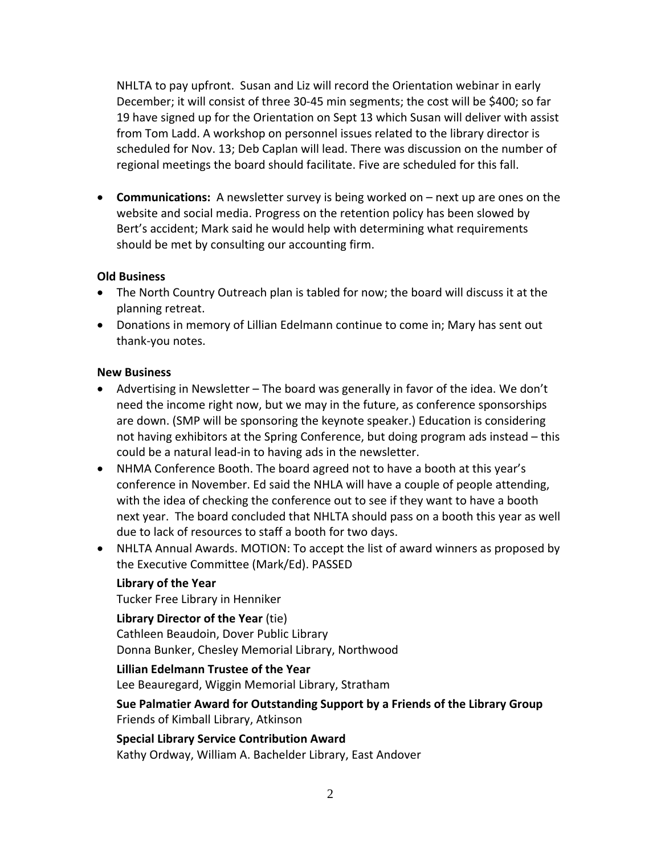NHLTA to pay upfront. Susan and Liz will record the Orientation webinar in early December; it will consist of three 30‐45 min segments; the cost will be \$400; so far 19 have signed up for the Orientation on Sept 13 which Susan will deliver with assist from Tom Ladd. A workshop on personnel issues related to the library director is scheduled for Nov. 13; Deb Caplan will lead. There was discussion on the number of regional meetings the board should facilitate. Five are scheduled for this fall.

**Communications:** A newsletter survey is being worked on – next up are ones on the website and social media. Progress on the retention policy has been slowed by Bert's accident; Mark said he would help with determining what requirements should be met by consulting our accounting firm.

### **Old Business**

- The North Country Outreach plan is tabled for now; the board will discuss it at the planning retreat.
- Donations in memory of Lillian Edelmann continue to come in; Mary has sent out thank‐you notes.

### **New Business**

- Advertising in Newsletter The board was generally in favor of the idea. We don't need the income right now, but we may in the future, as conference sponsorships are down. (SMP will be sponsoring the keynote speaker.) Education is considering not having exhibitors at the Spring Conference, but doing program ads instead – this could be a natural lead‐in to having ads in the newsletter.
- NHMA Conference Booth. The board agreed not to have a booth at this year's conference in November. Ed said the NHLA will have a couple of people attending, with the idea of checking the conference out to see if they want to have a booth next year. The board concluded that NHLTA should pass on a booth this year as well due to lack of resources to staff a booth for two days.
- NHLTA Annual Awards. MOTION: To accept the list of award winners as proposed by the Executive Committee (Mark/Ed). PASSED

## **Library of the Year**

Tucker Free Library in Henniker

### **Library Director of the Year** (tie)

Cathleen Beaudoin, Dover Public Library Donna Bunker, Chesley Memorial Library, Northwood

### **Lillian Edelmann Trustee of the Year**

Lee Beauregard, Wiggin Memorial Library, Stratham

**Sue Palmatier Award for Outstanding Support by a Friends of the Library Group**  Friends of Kimball Library, Atkinson

**Special Library Service Contribution Award**  Kathy Ordway, William A. Bachelder Library, East Andover